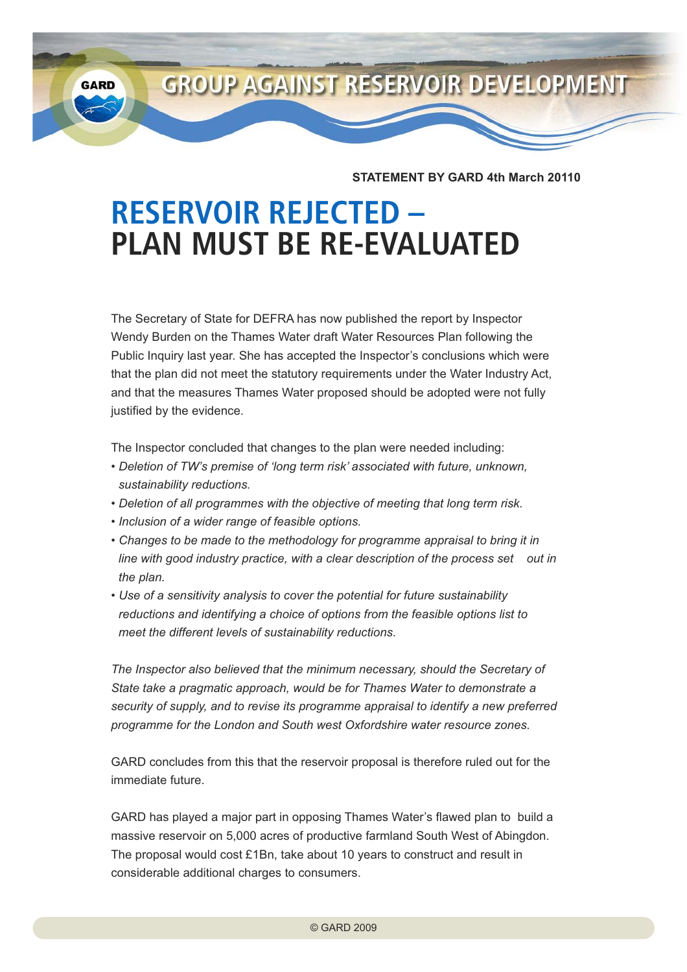**GROUP AGAINST RESERVOIR DEVELOPMENT GARD** 

**STATEMENT BY GARD 4th March 20110**

## **RESERVOIR REJECTED – PLAN MUST BE RE-EVALUATED**

The Secretary of State for DEFRA has now published the report by Inspector Wendy Burden on the Thames Water draft Water Resources Plan following the Public Inquiry last year. She has accepted the Inspector's conclusions which were that the plan did not meet the statutory requirements under the Water Industry Act, and that the measures Thames Water proposed should be adopted were not fully justified by the evidence.

The Inspector concluded that changes to the plan were needed including:

- *Deletion of TW's premise of 'long term risk' associated with future, unknown, sustainability reductions.*
- *Deletion of all programmes with the objective of meeting that long term risk.*
- *Inclusion of a wider range of feasible options.*
- *Changes to be made to the methodology for programme appraisal to bring it in line with good industry practice, with a clear description of the process set out in the plan.*
- *Use of a sensitivity analysis to cover the potential for future sustainability reductions and identifying a choice of options from the feasible options list to meet the different levels of sustainability reductions.*

*The Inspector also believed that the minimum necessary, should the Secretary of State take a pragmatic approach, would be for Thames Water to demonstrate a security of supply, and to revise its programme appraisal to identify a new preferred programme for the London and South west Oxfordshire water resource zones.*

GARD concludes from this that the reservoir proposal is therefore ruled out for the immediate future.

GARD has played a major part in opposing Thames Water's flawed plan to build a massive reservoir on 5,000 acres of productive farmland South West of Abingdon. The proposal would cost £1Bn, take about 10 years to construct and result in considerable additional charges to consumers.